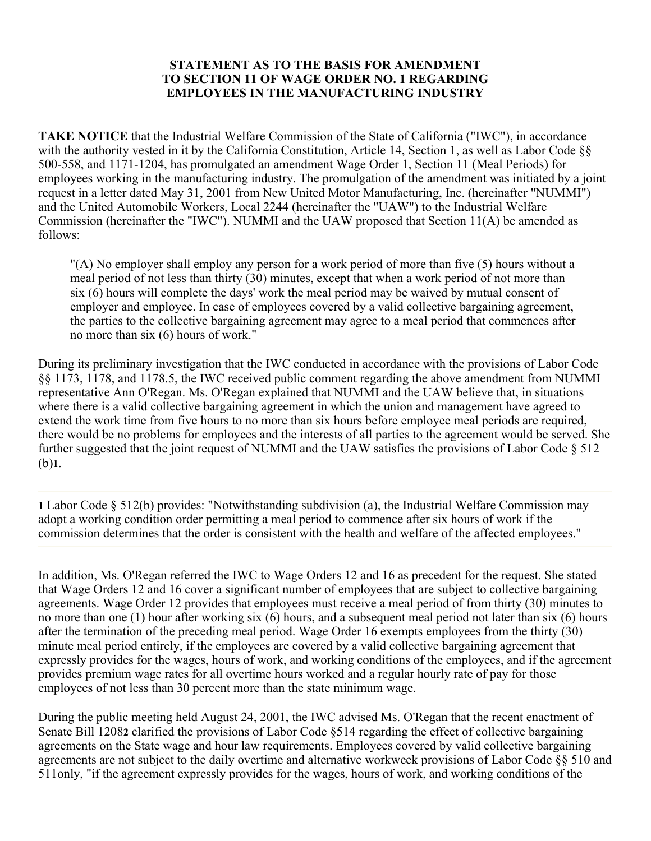## **STATEMENT AS TO THE BASIS FOR AMENDMENT TO SECTION 11 OF WAGE ORDER NO. 1 REGARDING EMPLOYEES IN THE MANUFACTURING INDUSTRY**

**TAKE NOTICE** that the Industrial Welfare Commission of the State of California ("IWC"), in accordance with the authority vested in it by the California Constitution, Article 14, Section 1, as well as Labor Code  $\S$ 500-558, and 1171-1204, has promulgated an amendment Wage Order 1, Section 11 (Meal Periods) for employees working in the manufacturing industry. The promulgation of the amendment was initiated by a joint request in a letter dated May 31, 2001 from New United Motor Manufacturing, Inc. (hereinafter "NUMMI") and the United Automobile Workers, Local 2244 (hereinafter the "UAW") to the Industrial Welfare Commission (hereinafter the "IWC"). NUMMI and the UAW proposed that Section 11(A) be amended as follows:

"(A) No employer shall employ any person for a work period of more than five (5) hours without a meal period of not less than thirty (30) minutes, except that when a work period of not more than six (6) hours will complete the days' work the meal period may be waived by mutual consent of employer and employee. In case of employees covered by a valid collective bargaining agreement, the parties to the collective bargaining agreement may agree to a meal period that commences after no more than six (6) hours of work."

During its preliminary investigation that the IWC conducted in accordance with the provisions of Labor Code §§ 1173, 1178, and 1178.5, the IWC received public comment regarding the above amendment from NUMMI representative Ann O'Regan. Ms. O'Regan explained that NUMMI and the UAW believe that, in situations where there is a valid collective bargaining agreement in which the union and management have agreed to extend the work time from five hours to no more than six hours before employee meal periods are required, there would be no problems for employees and the interests of all parties to the agreement would be served. She further suggested that the joint request of NUMMI and the UAW satisfies the provisions of Labor Code § 512 (b)**1**.

**1** Labor Code § 512(b) provides: "Notwithstanding subdivision (a), the Industrial Welfare Commission may adopt a working condition order permitting a meal period to commence after six hours of work if the commission determines that the order is consistent with the health and welfare of the affected employees."

In addition, Ms. O'Regan referred the IWC to Wage Orders 12 and 16 as precedent for the request. She stated that Wage Orders 12 and 16 cover a significant number of employees that are subject to collective bargaining agreements. Wage Order 12 provides that employees must receive a meal period of from thirty (30) minutes to no more than one (1) hour after working six (6) hours, and a subsequent meal period not later than six (6) hours after the termination of the preceding meal period. Wage Order 16 exempts employees from the thirty (30) minute meal period entirely, if the employees are covered by a valid collective bargaining agreement that expressly provides for the wages, hours of work, and working conditions of the employees, and if the agreement provides premium wage rates for all overtime hours worked and a regular hourly rate of pay for those employees of not less than 30 percent more than the state minimum wage.

During the public meeting held August 24, 2001, the IWC advised Ms. O'Regan that the recent enactment of Senate Bill 1208**2** clarified the provisions of Labor Code §514 regarding the effect of collective bargaining agreements on the State wage and hour law requirements. Employees covered by valid collective bargaining agreements are not subject to the daily overtime and alternative workweek provisions of Labor Code §§ 510 and 511only, "if the agreement expressly provides for the wages, hours of work, and working conditions of the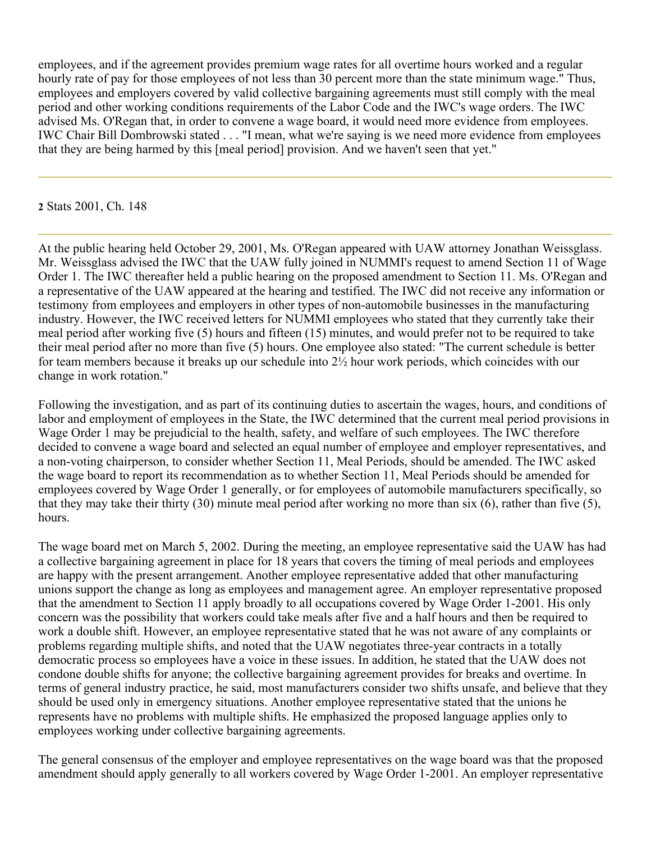employees, and if the agreement provides premium wage rates for all overtime hours worked and a regular hourly rate of pay for those employees of not less than 30 percent more than the state minimum wage." Thus, employees and employers covered by valid collective bargaining agreements must still comply with the meal period and other working conditions requirements of the Labor Code and the IWC's wage orders. The IWC advised Ms. O'Regan that, in order to convene a wage board, it would need more evidence from employees. IWC Chair Bill Dombrowski stated . . . "I mean, what we're saying is we need more evidence from employees that they are being harmed by this [meal period] provision. And we haven't seen that yet."

**2** Stats 2001, Ch. 148

At the public hearing held October 29, 2001, Ms. O'Regan appeared with UAW attorney Jonathan Weissglass. Mr. Weissglass advised the IWC that the UAW fully joined in NUMMI's request to amend Section 11 of Wage Order 1. The IWC thereafter held a public hearing on the proposed amendment to Section 11. Ms. O'Regan and a representative of the UAW appeared at the hearing and testified. The IWC did not receive any information or testimony from employees and employers in other types of non-automobile businesses in the manufacturing industry. However, the IWC received letters for NUMMI employees who stated that they currently take their meal period after working five (5) hours and fifteen (15) minutes, and would prefer not to be required to take their meal period after no more than five (5) hours. One employee also stated: "The current schedule is better for team members because it breaks up our schedule into 2½ hour work periods, which coincides with our change in work rotation."

Following the investigation, and as part of its continuing duties to ascertain the wages, hours, and conditions of labor and employment of employees in the State, the IWC determined that the current meal period provisions in Wage Order 1 may be prejudicial to the health, safety, and welfare of such employees. The IWC therefore decided to convene a wage board and selected an equal number of employee and employer representatives, and a non-voting chairperson, to consider whether Section 11, Meal Periods, should be amended. The IWC asked the wage board to report its recommendation as to whether Section 11, Meal Periods should be amended for employees covered by Wage Order 1 generally, or for employees of automobile manufacturers specifically, so that they may take their thirty (30) minute meal period after working no more than six (6), rather than five (5), hours.

The wage board met on March 5, 2002. During the meeting, an employee representative said the UAW has had a collective bargaining agreement in place for 18 years that covers the timing of meal periods and employees are happy with the present arrangement. Another employee representative added that other manufacturing unions support the change as long as employees and management agree. An employer representative proposed that the amendment to Section 11 apply broadly to all occupations covered by Wage Order 1-2001. His only concern was the possibility that workers could take meals after five and a half hours and then be required to work a double shift. However, an employee representative stated that he was not aware of any complaints or problems regarding multiple shifts, and noted that the UAW negotiates three-year contracts in a totally democratic process so employees have a voice in these issues. In addition, he stated that the UAW does not condone double shifts for anyone; the collective bargaining agreement provides for breaks and overtime. In terms of general industry practice, he said, most manufacturers consider two shifts unsafe, and believe that they should be used only in emergency situations. Another employee representative stated that the unions he represents have no problems with multiple shifts. He emphasized the proposed language applies only to employees working under collective bargaining agreements.

The general consensus of the employer and employee representatives on the wage board was that the proposed amendment should apply generally to all workers covered by Wage Order 1-2001. An employer representative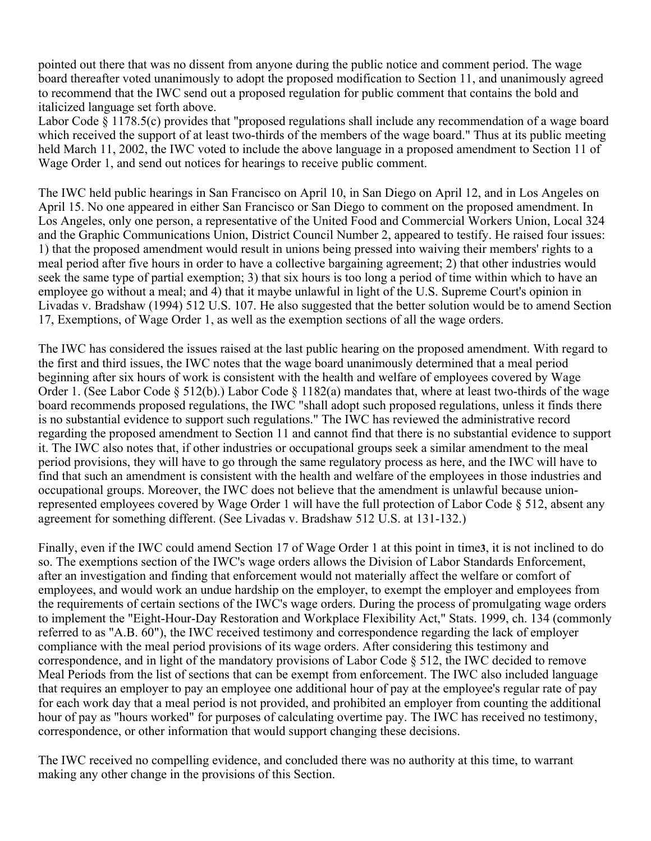pointed out there that was no dissent from anyone during the public notice and comment period. The wage board thereafter voted unanimously to adopt the proposed modification to Section 11, and unanimously agreed to recommend that the IWC send out a proposed regulation for public comment that contains the bold and italicized language set forth above.

Labor Code § 1178.5(c) provides that "proposed regulations shall include any recommendation of a wage board which received the support of at least two-thirds of the members of the wage board." Thus at its public meeting held March 11, 2002, the IWC voted to include the above language in a proposed amendment to Section 11 of Wage Order 1, and send out notices for hearings to receive public comment.

The IWC held public hearings in San Francisco on April 10, in San Diego on April 12, and in Los Angeles on April 15. No one appeared in either San Francisco or San Diego to comment on the proposed amendment. In Los Angeles, only one person, a representative of the United Food and Commercial Workers Union, Local 324 and the Graphic Communications Union, District Council Number 2, appeared to testify. He raised four issues: 1) that the proposed amendment would result in unions being pressed into waiving their members' rights to a meal period after five hours in order to have a collective bargaining agreement; 2) that other industries would seek the same type of partial exemption; 3) that six hours is too long a period of time within which to have an employee go without a meal; and 4) that it maybe unlawful in light of the U.S. Supreme Court's opinion in Livadas v. Bradshaw (1994) 512 U.S. 107. He also suggested that the better solution would be to amend Section 17, Exemptions, of Wage Order 1, as well as the exemption sections of all the wage orders.

The IWC has considered the issues raised at the last public hearing on the proposed amendment. With regard to the first and third issues, the IWC notes that the wage board unanimously determined that a meal period beginning after six hours of work is consistent with the health and welfare of employees covered by Wage Order 1. (See Labor Code § 512(b).) Labor Code § 1182(a) mandates that, where at least two-thirds of the wage board recommends proposed regulations, the IWC "shall adopt such proposed regulations, unless it finds there is no substantial evidence to support such regulations." The IWC has reviewed the administrative record regarding the proposed amendment to Section 11 and cannot find that there is no substantial evidence to support it. The IWC also notes that, if other industries or occupational groups seek a similar amendment to the meal period provisions, they will have to go through the same regulatory process as here, and the IWC will have to find that such an amendment is consistent with the health and welfare of the employees in those industries and occupational groups. Moreover, the IWC does not believe that the amendment is unlawful because unionrepresented employees covered by Wage Order 1 will have the full protection of Labor Code § 512, absent any agreement for something different. (See Livadas v. Bradshaw 512 U.S. at 131-132.)

Finally, even if the IWC could amend Section 17 of Wage Order 1 at this point in time**3**, it is not inclined to do so. The exemptions section of the IWC's wage orders allows the Division of Labor Standards Enforcement, after an investigation and finding that enforcement would not materially affect the welfare or comfort of employees, and would work an undue hardship on the employer, to exempt the employer and employees from the requirements of certain sections of the IWC's wage orders. During the process of promulgating wage orders to implement the "Eight-Hour-Day Restoration and Workplace Flexibility Act," Stats. 1999, ch. 134 (commonly referred to as "A.B. 60"), the IWC received testimony and correspondence regarding the lack of employer compliance with the meal period provisions of its wage orders. After considering this testimony and correspondence, and in light of the mandatory provisions of Labor Code § 512, the IWC decided to remove Meal Periods from the list of sections that can be exempt from enforcement. The IWC also included language that requires an employer to pay an employee one additional hour of pay at the employee's regular rate of pay for each work day that a meal period is not provided, and prohibited an employer from counting the additional hour of pay as "hours worked" for purposes of calculating overtime pay. The IWC has received no testimony, correspondence, or other information that would support changing these decisions.

The IWC received no compelling evidence, and concluded there was no authority at this time, to warrant making any other change in the provisions of this Section.